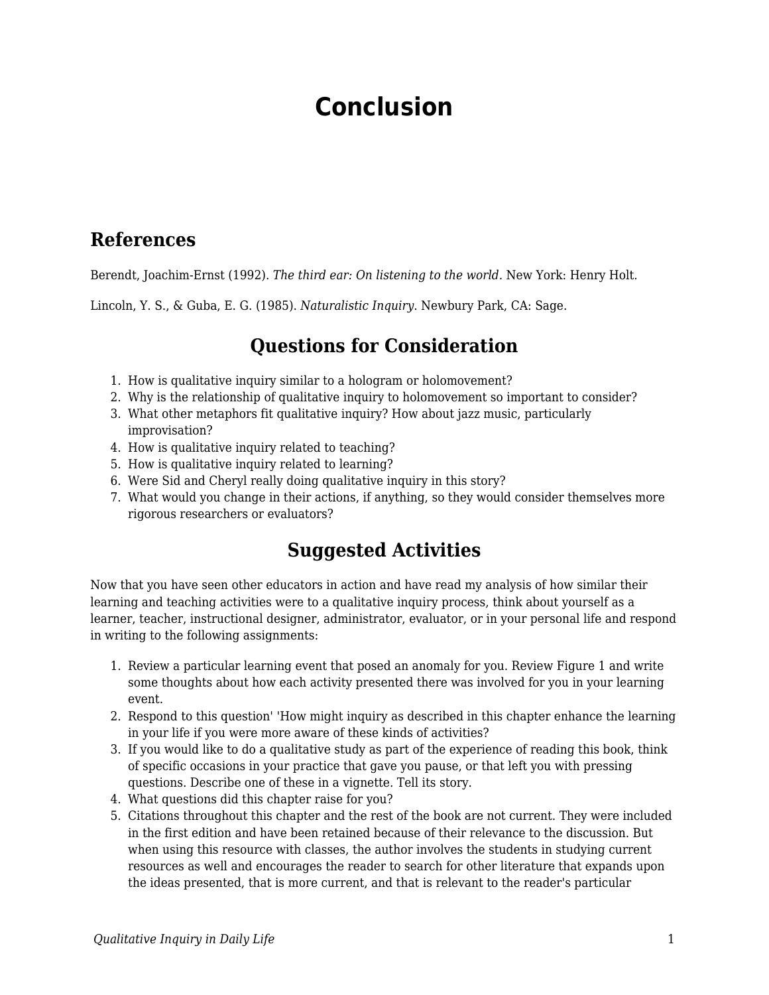# **Conclusion**

#### **References**

Berendt, Joachim-Ernst (1992). *The third ear: On listening to the world.* New York: Henry Holt.

Lincoln, Y. S., & Guba, E. G. (1985). *Naturalistic Inquiry*. Newbury Park, CA: Sage.

## **Questions for Consideration**

- 1. How is qualitative inquiry similar to a hologram or holomovement?
- 2. Why is the relationship of qualitative inquiry to holomovement so important to consider?
- 3. What other metaphors fit qualitative inquiry? How about jazz music, particularly improvisation?
- 4. How is qualitative inquiry related to teaching?
- 5. How is qualitative inquiry related to learning?
- 6. Were Sid and Cheryl really doing qualitative inquiry in this story?
- 7. What would you change in their actions, if anything, so they would consider themselves more rigorous researchers or evaluators?

## **Suggested Activities**

Now that you have seen other educators in action and have read my analysis of how similar their learning and teaching activities were to a qualitative inquiry process, think about yourself as a learner, teacher, instructional designer, administrator, evaluator, or in your personal life and respond in writing to the following assignments:

- 1. Review a particular learning event that posed an anomaly for you. Review Figure 1 and write some thoughts about how each activity presented there was involved for you in your learning event.
- 2. Respond to this question' 'How might inquiry as described in this chapter enhance the learning in your life if you were more aware of these kinds of activities?
- 3. If you would like to do a qualitative study as part of the experience of reading this book, think of specific occasions in your practice that gave you pause, or that left you with pressing questions. Describe one of these in a vignette. Tell its story.
- 4. What questions did this chapter raise for you?
- 5. Citations throughout this chapter and the rest of the book are not current. They were included in the first edition and have been retained because of their relevance to the discussion. But when using this resource with classes, the author involves the students in studying current resources as well and encourages the reader to search for other literature that expands upon the ideas presented, that is more current, and that is relevant to the reader's particular